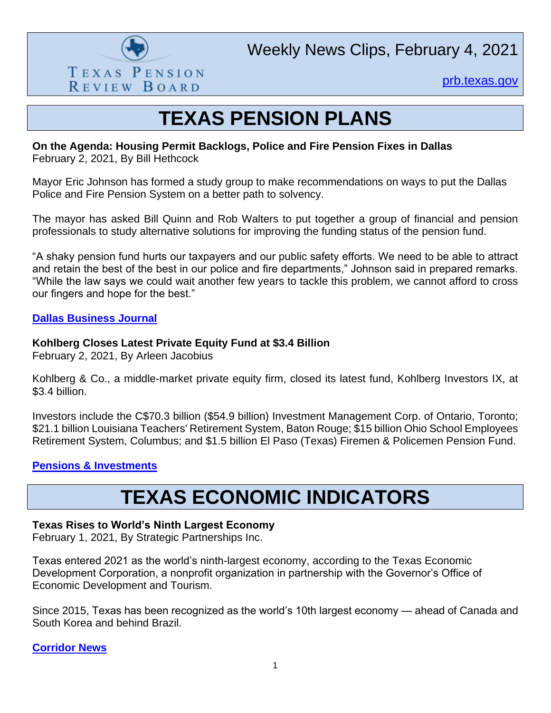

Weekly News Clips, February 4, 2021

[prb.texas.gov](http://www.prb.texas.gov/)

## **TEXAS PENSION PLANS**

#### **On the Agenda: Housing Permit Backlogs, Police and Fire Pension Fixes in Dallas** February 2, 2021, By Bill Hethcock

Mayor Eric Johnson has formed a study group to make recommendations on ways to put the Dallas Police and Fire Pension System on a better path to solvency.

The mayor has asked Bill Quinn and Rob Walters to put together a group of financial and pension professionals to study alternative solutions for improving the funding status of the pension fund.

"A shaky pension fund hurts our taxpayers and our public safety efforts. We need to be able to attract and retain the best of the best in our police and fire departments," Johnson said in prepared remarks. "While the law says we could wait another few years to tackle this problem, we cannot afford to cross our fingers and hope for the best."

#### **[Dallas Business Journal](https://www.bizjournals.com/dallas/news/2021/02/02/building-permits-dallas-police-fire-pension.html)**

#### **Kohlberg Closes Latest Private Equity Fund at \$3.4 Billion**

February 2, 2021, By Arleen Jacobius

Kohlberg & Co., a middle-market private equity firm, closed its latest fund, Kohlberg Investors IX, at \$3.4 billion.

Investors include the C\$70.3 billion (\$54.9 billion) Investment Management Corp. of Ontario, Toronto; \$21.1 billion Louisiana Teachers' Retirement System, Baton Rouge; \$15 billion Ohio School Employees Retirement System, Columbus; and \$1.5 billion El Paso (Texas) Firemen & Policemen Pension Fund.

#### **[Pensions & Investments](https://www.pionline.com/private-equity/kohlberg-closes-latest-private-equity-fund-34-billion)**

## **TEXAS ECONOMIC INDICATORS**

#### **Texas Rises to World's Ninth Largest Economy**

February 1, 2021, By Strategic Partnerships Inc.

Texas entered 2021 as the world's ninth-largest economy, according to the Texas Economic Development Corporation, a nonprofit organization in partnership with the Governor's Office of Economic Development and Tourism.

Since 2015, Texas has been recognized as the world's 10th largest economy — ahead of Canada and South Korea and behind Brazil.

**[Corridor News](https://smcorridornews.com/texas-rises-to-worlds-ninth-largest-economy/)**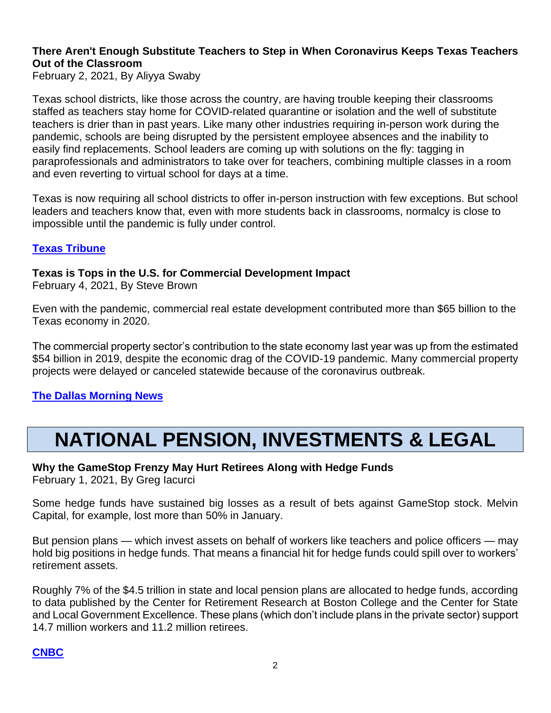#### **There Aren't Enough Substitute Teachers to Step in When Coronavirus Keeps Texas Teachers Out of the Classroom**

February 2, 2021, By Aliyya Swaby

Texas school districts, like those across the country, are having trouble keeping their classrooms staffed as teachers stay home for COVID-related quarantine or isolation and the well of substitute teachers is drier than in past years. Like many other industries requiring in-person work during the pandemic, schools are being disrupted by the persistent employee absences and the inability to easily find replacements. School leaders are coming up with solutions on the fly: tagging in paraprofessionals and administrators to take over for teachers, combining multiple classes in a room and even reverting to virtual school for days at a time.

Texas is now requiring all school districts to offer in-person instruction with few exceptions. But school leaders and teachers know that, even with more students back in classrooms, normalcy is close to impossible until the pandemic is fully under control.

#### **[Texas Tribune](https://www.texastribune.org/2021/02/02/texas-substitute-teachers-coronavirus/)**

#### **Texas is Tops in the U.S. for Commercial Development Impact**

February 4, 2021, By Steve Brown

Even with the pandemic, commercial real estate development contributed more than \$65 billion to the Texas economy in 2020.

The commercial property sector's contribution to the state economy last year was up from the estimated \$54 billion in 2019, despite the economic drag of the COVID-19 pandemic. Many commercial property projects were delayed or canceled statewide because of the coronavirus outbreak.

#### **[The Dallas Morning News](https://www.dallasnews.com/business/real-estate/2021/02/04/texas-is-tops-in-the-us-for-commercial-development-impact/)**

# **NATIONAL PENSION, INVESTMENTS & LEGAL**

## **Why the GameStop Frenzy May Hurt Retirees Along with Hedge Funds**

February 1, 2021, By Greg Iacurci

Some hedge funds have sustained big losses as a result of bets against GameStop stock. Melvin Capital, for example, lost more than 50% in January.

But pension plans — which invest assets on behalf of workers like teachers and police officers — may hold big positions in hedge funds. That means a financial hit for hedge funds could spill over to workers' retirement assets.

Roughly 7% of the \$4.5 trillion in state and local pension plans are allocated to hedge funds, according to data published by the Center for Retirement Research at Boston College and the Center for State and Local Government Excellence. These plans (which don't include plans in the private sector) support 14.7 million workers and 11.2 million retirees.

### **[CNBC](https://www.cnbc.com/2021/02/01/why-the-gamestop-frenzy-may-hurt-retirees-along-with-hedge-funds.html)**